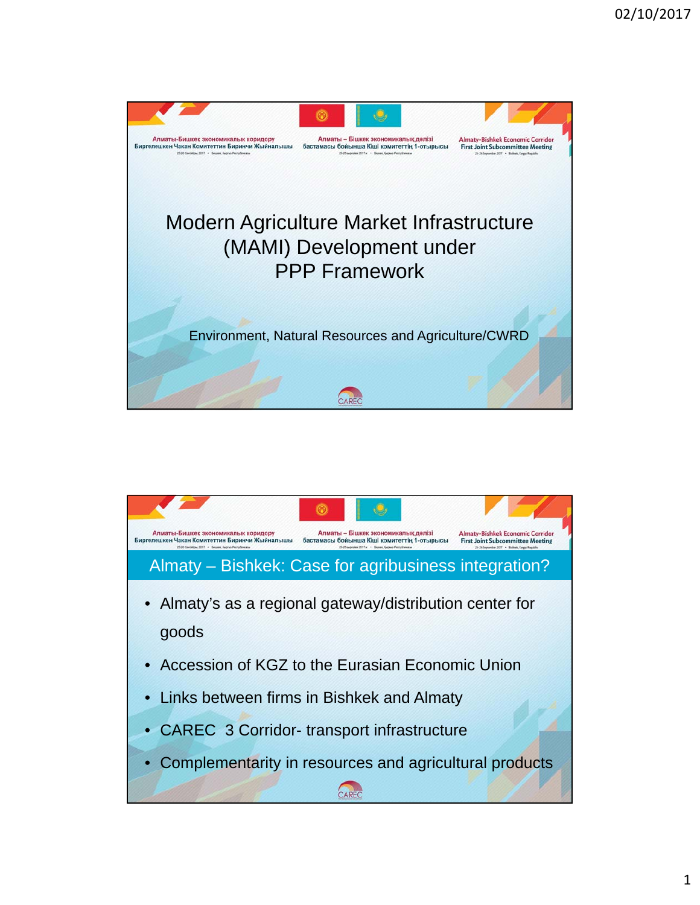

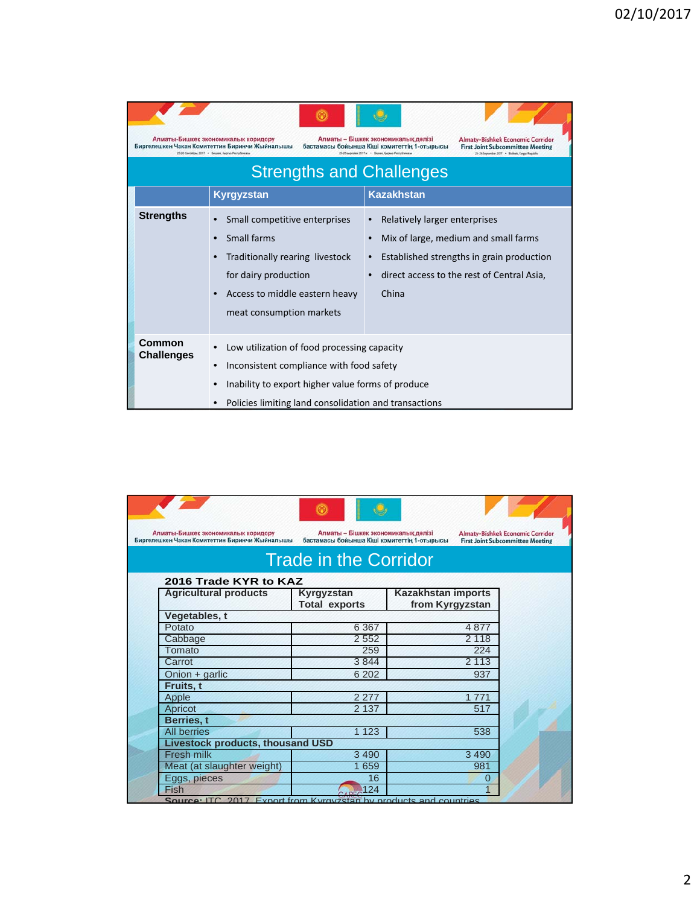|                             | Алматы-Бишкек экономикалык коридору<br>Биргелешкен Чакан Комитеттин Биринчи Жыйналышы<br>25-26 Centrefipia, 2017 . Becami, Kuprya Perindhomana<br><b>Strengths and Challenges</b>                     | Алматы – Бішкек экономикалық дәлізі<br><b>Almaty-Bishkek Economic Corridor</b><br>бастамасы бойынша Кіші комитеттің 1-отырысы<br><b>First Joint Subcommittee Meeting</b><br>25-26 eugeniers 2017 x Suzes, Kugnus Perryfinisatur<br>25-26 September 2017 . Bishkek, Kyrgyz Republic |
|-----------------------------|-------------------------------------------------------------------------------------------------------------------------------------------------------------------------------------------------------|------------------------------------------------------------------------------------------------------------------------------------------------------------------------------------------------------------------------------------------------------------------------------------|
|                             | <b>Kyrgyzstan</b>                                                                                                                                                                                     | <b>Kazakhstan</b>                                                                                                                                                                                                                                                                  |
| <b>Strengths</b>            | Small competitive enterprises<br>Small farms<br>Traditionally rearing livestock<br>for dairy production<br>Access to middle eastern heavy<br>meat consumption markets                                 | Relatively larger enterprises<br>Mix of large, medium and small farms<br>Established strengths in grain production<br>direct access to the rest of Central Asia,<br>China                                                                                                          |
| Common<br><b>Challenges</b> | Low utilization of food processing capacity<br>Inconsistent compliance with food safety<br>Inability to export higher value forms of produce<br>Policies limiting land consolidation and transactions |                                                                                                                                                                                                                                                                                    |

| Алматы-Бишкек экономикалык коридору<br>Биргелешкен Чакан Комитеттин Биринчи Жыйналышы | Алматы - Бішкек экономикалық дәлізі<br>бастамасы бойынша Кіші комитеттің 1-отырысы |                                       | <b>Almaty-Bishkek Economic Corridor</b><br><b>First Joint Subcommittee Meeting</b> |
|---------------------------------------------------------------------------------------|------------------------------------------------------------------------------------|---------------------------------------|------------------------------------------------------------------------------------|
|                                                                                       | <b>Trade in the Corridor</b>                                                       |                                       |                                                                                    |
| 2016 Trade KYR to KAZ                                                                 |                                                                                    |                                       |                                                                                    |
| <b>Agricultural products</b>                                                          | Kyrgyzstan<br><b>Total exports</b>                                                 | Kazakhstan imports<br>from Kyrgyzstan |                                                                                    |
| Vegetables, t                                                                         |                                                                                    |                                       |                                                                                    |
| Potato                                                                                | 6 3 6 7                                                                            | 4877                                  |                                                                                    |
| Cabbage                                                                               | 2552                                                                               | 2 1 1 8                               |                                                                                    |
| Tomato                                                                                | 259                                                                                | 224                                   |                                                                                    |
| Carrot                                                                                | 3844                                                                               | 2 1 1 3                               |                                                                                    |
| Onion + garlic                                                                        | 6 202                                                                              | 937                                   |                                                                                    |
| Fruits, t                                                                             |                                                                                    |                                       |                                                                                    |
| Apple                                                                                 | 2 2 7 7                                                                            | 1 7 7 1                               |                                                                                    |
| Apricot                                                                               | 2 1 3 7                                                                            | 517                                   |                                                                                    |
| Berries, t                                                                            |                                                                                    |                                       |                                                                                    |
| <b>All berries</b>                                                                    | 1 1 2 3                                                                            | 538                                   |                                                                                    |
| <b>Livestock products, thousand USD</b>                                               |                                                                                    |                                       |                                                                                    |
| <b>Fresh milk</b>                                                                     | 3 4 9 0                                                                            | 3 4 9 0                               |                                                                                    |
| Meat (at slaughter weight)                                                            | 1659                                                                               | 981                                   |                                                                                    |
| Eggs, pieces                                                                          | 16                                                                                 | 0                                     |                                                                                    |
| Fish                                                                                  | 124                                                                                |                                       |                                                                                    |
| Source: ITC 2017 Export from Kyrovzstap by products and countries                     |                                                                                    |                                       |                                                                                    |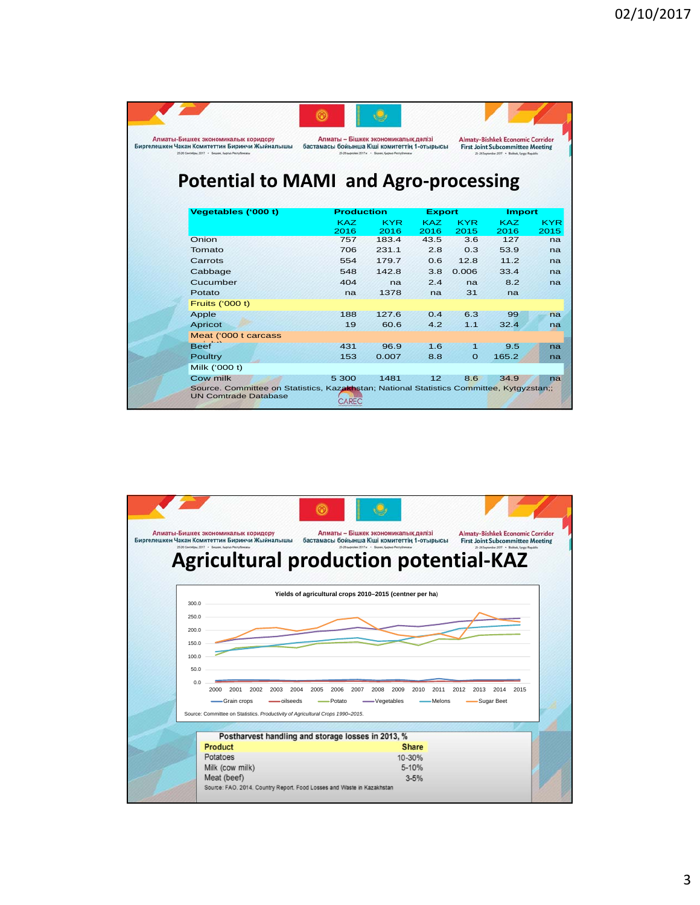|            | Алматы-Бишкек экономикалык коридору<br>Алматы - Бішкек экономикалык дәлізі<br><b>Almaty-Bishkek Economic Corridor</b><br>Биргелешкен Чакан Комитеттин Биринчи Жыйналышы<br>бастамасы бойынша Кіші комитеттің 1-отырысы<br><b>First Joint Subcommittee Meeting</b> |                                                      |                            |                                                 |                                                                                             |
|------------|-------------------------------------------------------------------------------------------------------------------------------------------------------------------------------------------------------------------------------------------------------------------|------------------------------------------------------|----------------------------|-------------------------------------------------|---------------------------------------------------------------------------------------------|
|            | 25-26 supraires 2017 x - Sigans, Kugnus Perrufinisanu                                                                                                                                                                                                             |                                                      |                            | 25-26 September 2017 . Bishirk, Vyrgyr Republic |                                                                                             |
|            |                                                                                                                                                                                                                                                                   |                                                      |                            |                                                 |                                                                                             |
|            |                                                                                                                                                                                                                                                                   |                                                      |                            |                                                 |                                                                                             |
|            |                                                                                                                                                                                                                                                                   |                                                      |                            |                                                 |                                                                                             |
|            |                                                                                                                                                                                                                                                                   |                                                      |                            |                                                 |                                                                                             |
| <b>KAZ</b> | <b>KYR</b>                                                                                                                                                                                                                                                        | <b>KAZ</b>                                           | <b>KYR</b>                 | <b>KAZ</b>                                      | <b>KYR</b>                                                                                  |
|            |                                                                                                                                                                                                                                                                   |                                                      |                            |                                                 | 2015                                                                                        |
|            |                                                                                                                                                                                                                                                                   |                                                      |                            |                                                 | na                                                                                          |
|            |                                                                                                                                                                                                                                                                   |                                                      |                            |                                                 | na                                                                                          |
|            |                                                                                                                                                                                                                                                                   |                                                      |                            |                                                 | na                                                                                          |
| 548        | 142.8                                                                                                                                                                                                                                                             | 3.8                                                  | 0.006                      | 33.4                                            | na                                                                                          |
| 404        | na                                                                                                                                                                                                                                                                | 2.4                                                  | na                         | 82                                              | na                                                                                          |
| na         | 1378                                                                                                                                                                                                                                                              | na                                                   | 31                         | na                                              |                                                                                             |
|            |                                                                                                                                                                                                                                                                   |                                                      |                            |                                                 |                                                                                             |
| 188        | 127.6                                                                                                                                                                                                                                                             | 0.4                                                  | 6.3                        | 99                                              | na                                                                                          |
| 19         | 60.6                                                                                                                                                                                                                                                              | 4.2                                                  | 1.1                        | 32.4                                            | na                                                                                          |
|            |                                                                                                                                                                                                                                                                   |                                                      |                            |                                                 |                                                                                             |
| 431        | 96.9                                                                                                                                                                                                                                                              | 1.6                                                  | 1                          | 9.5                                             |                                                                                             |
| 153        | 0.007                                                                                                                                                                                                                                                             | 8.8                                                  | $\Omega$                   | 165.2                                           | na                                                                                          |
|            |                                                                                                                                                                                                                                                                   |                                                      |                            |                                                 |                                                                                             |
|            |                                                                                                                                                                                                                                                                   |                                                      |                            |                                                 |                                                                                             |
|            | 2016<br>757<br>706<br>554                                                                                                                                                                                                                                         | <b>Production</b><br>2016<br>183.4<br>231.1<br>179.7 | 2016<br>43.5<br>2.8<br>0.6 | <b>Export</b><br>2015<br>3.6<br>0.3<br>12.8     | <b>Potential to MAMI and Agro-processing</b><br><b>Import</b><br>2016<br>127<br>53.9<br>112 |

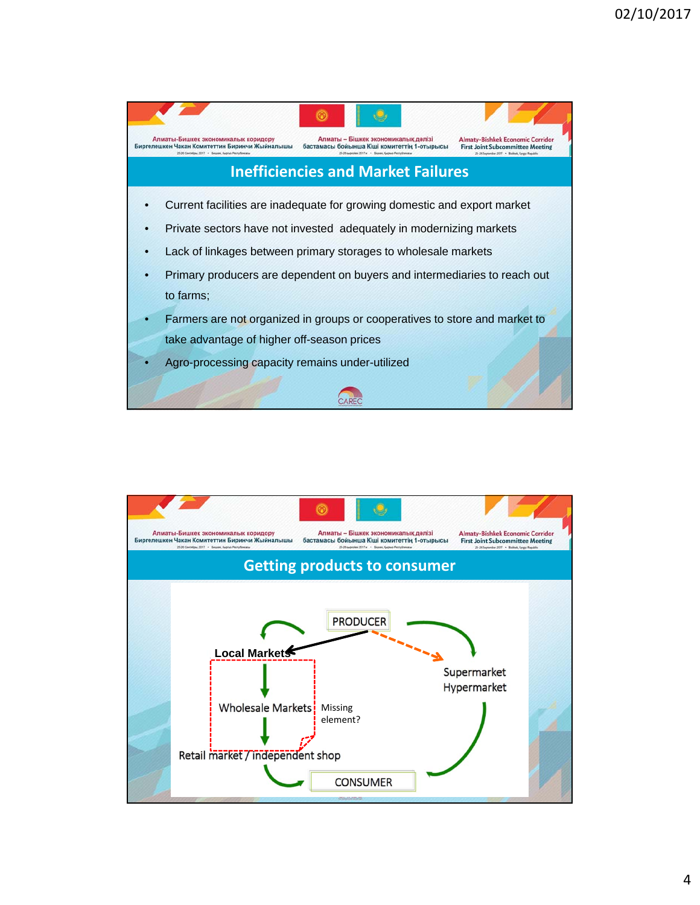

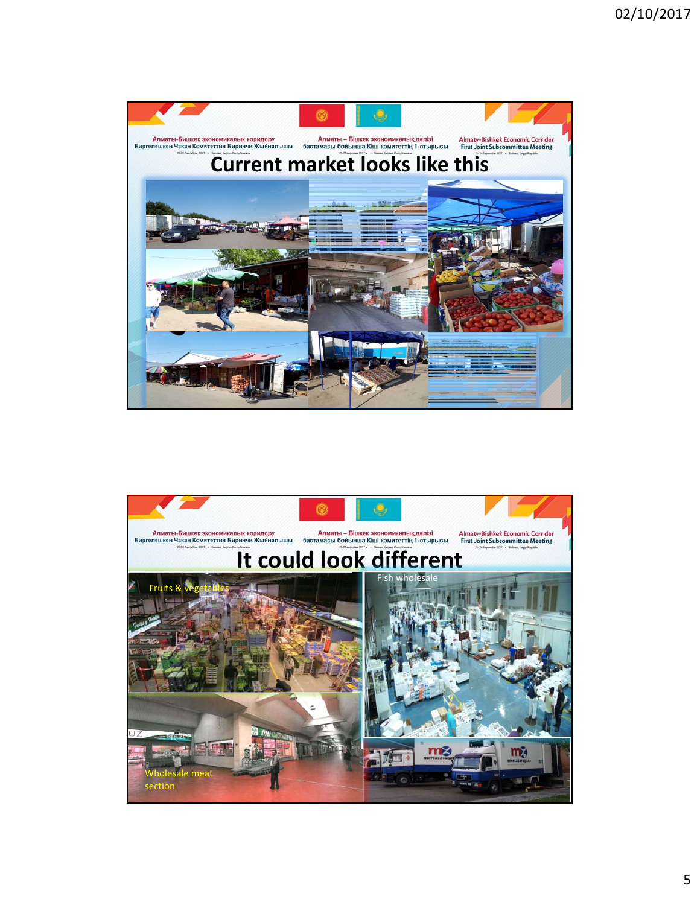

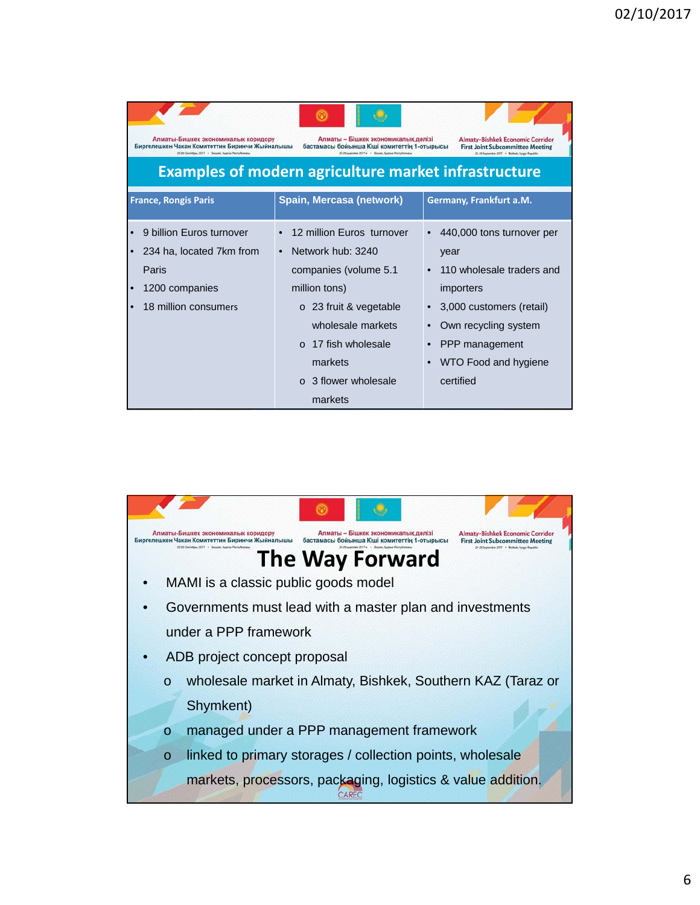| Алматы-Бишкек экономикалык коридору<br>Биргелешкен Чакан Комитеттин Биринчи Жыйналышы<br>25-26 Centralipus, 2017 . Becames, Kugraya Pentry Browsers | Алматы - Бішкек экономикалық дәлізі<br>бастамасы бойынша Кіші комитеттің 1-отырысы<br>25-26 supraires 2017 x - Sigans, Kugnya Perryfinisatu<br><b>Examples of modern agriculture market infrastructure</b>                     | <b>Almaty-Bishkek Economic Corridor</b><br><b>First Joint Subcommittee Meeting</b><br>25-26 September 2017 . Bishkek, Vanger Republic                                                  |
|-----------------------------------------------------------------------------------------------------------------------------------------------------|--------------------------------------------------------------------------------------------------------------------------------------------------------------------------------------------------------------------------------|----------------------------------------------------------------------------------------------------------------------------------------------------------------------------------------|
| <b>France, Rongis Paris</b>                                                                                                                         | Spain, Mercasa (network)                                                                                                                                                                                                       | Germany, Frankfurt a.M.                                                                                                                                                                |
| 9 billion Euros turnover<br>234 ha, located 7km from<br>Paris<br>1200 companies<br>18 million consumers                                             | 12 million Euros turnover<br>Network hub: 3240<br>companies (volume 5.1<br>million tons)<br>$\circ$ 23 fruit & vegetable<br>wholesale markets<br>$\circ$ 17 fish wholesale<br>markets<br>$\circ$ 3 flower wholesale<br>markets | 440,000 tons turnover per<br>year<br>110 wholesale traders and<br>importers<br>3,000 customers (retail)<br>Own recycling system<br>PPP management<br>WTO Food and hygiene<br>certified |

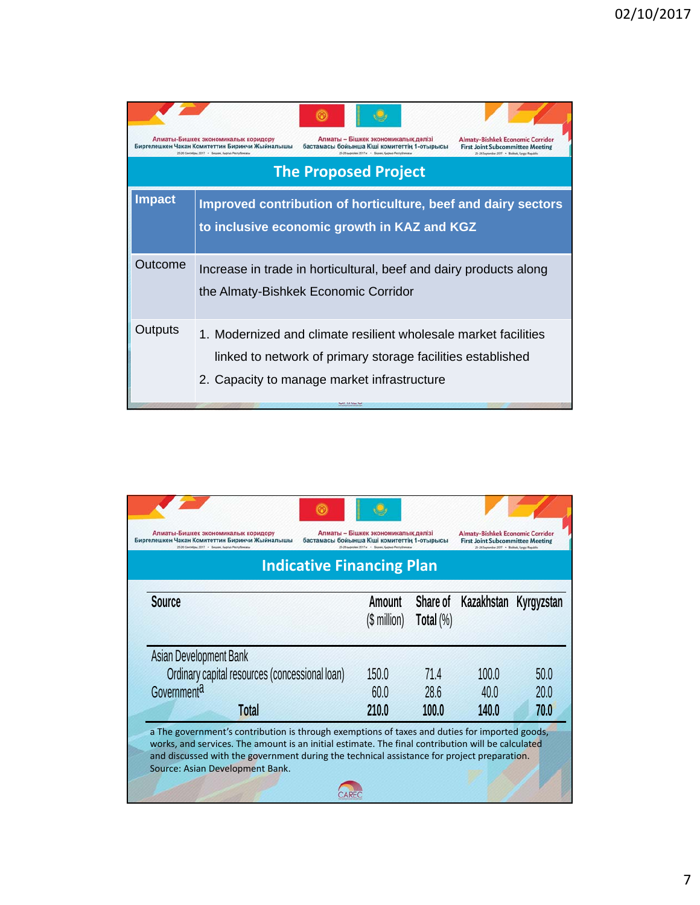|               | Алматы-Бишкек экономикалык коридору<br>Алматы – Бішкек экономикалық дәлізі<br><b>Almaty-Bishkek Economic Corridor</b><br>Биргелешкен Чакан Комитеттин Биринчи Жыйналышы<br>бастамасы бойынша Кіші комитеттің 1-отырысы<br><b>First Joint Subcommittee Meeting</b><br>25-26 Centrifipul, 2017 . Becami, Kuprya Pentryfinesesa<br>25-26 supraires 2017 x - Sigans, Kugnya Perryfinisatur<br>25-26 September 2017 . Bishbak, Kyrgyz Republic<br><b>The Proposed Project</b> |
|---------------|--------------------------------------------------------------------------------------------------------------------------------------------------------------------------------------------------------------------------------------------------------------------------------------------------------------------------------------------------------------------------------------------------------------------------------------------------------------------------|
| <b>Impact</b> | Improved contribution of horticulture, beef and dairy sectors<br>to inclusive economic growth in KAZ and KGZ                                                                                                                                                                                                                                                                                                                                                             |
| Outcome       | Increase in trade in horticultural, beef and dairy products along<br>the Almaty-Bishkek Economic Corridor                                                                                                                                                                                                                                                                                                                                                                |
| Outputs       | 1. Modernized and climate resilient wholesale market facilities<br>linked to network of primary storage facilities established<br>2. Capacity to manage market infrastructure                                                                                                                                                                                                                                                                                            |

| <b>Source</b>                                  | Amount        |              | Share of Kazakhstan | Kyrgyzstan |
|------------------------------------------------|---------------|--------------|---------------------|------------|
|                                                | $(S$ million) | Total $(\%)$ |                     |            |
| Asian Development Bank                         |               |              |                     |            |
| Ordinary capital resources (concessional loan) | 150.0         | 71.4         | 100.0               | 50.0       |
| Governmenta                                    | 60.0          | 28.6         | 40.0                | 20.0       |
| <b>Total</b>                                   | 210.0         | 100.0        | 140.0               | 70.0       |